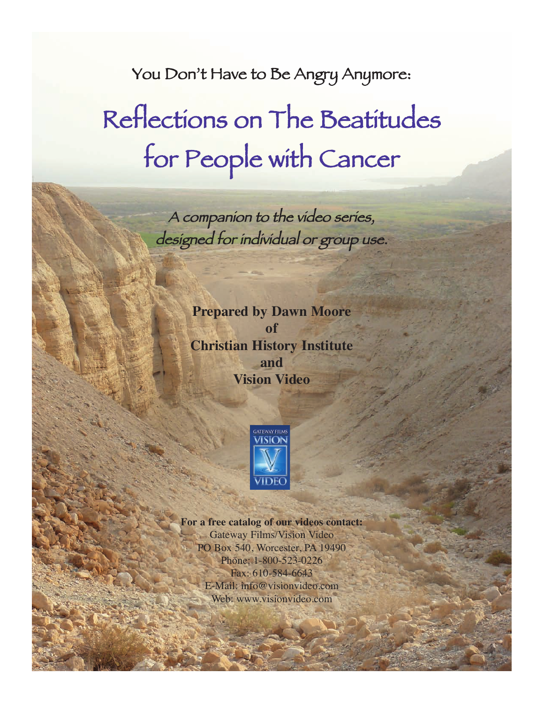You Don't Have to Be Angry Anymore:

# Reflections on The Beatitudes for People with Cancer

A companion to the video series, designed for individual or group use.

> **Prepared by Dawn Moore of Christian History Institute and Vision Video**



**For a free catalog of our videos contact:** Gateway Films/Vision Video PO Box 540, Worcester, PA 19490 Phone: 1-800-523-0226 Fax: 610-584-6643 E-Mail: info@visionvideo.com Web: www.visionvideo.com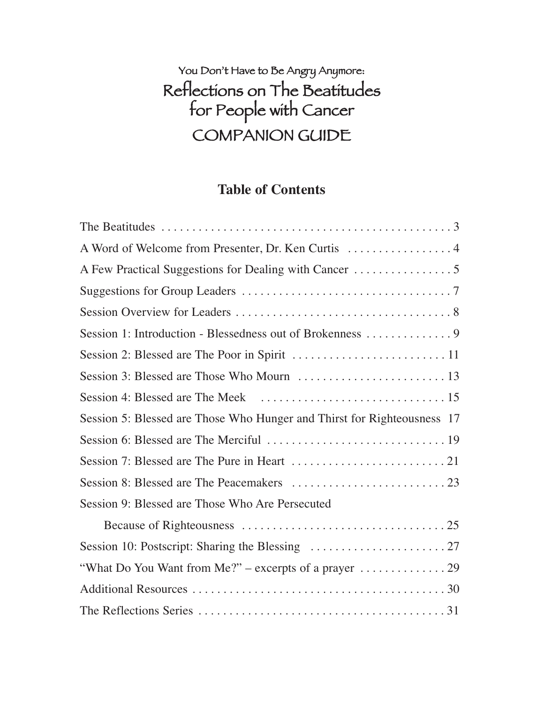### You Don't Have to Be Angry Anymore: Reflections on The Beatitudes for People with Cancer COMPANION GUIDE

#### **Table of Contents**

| A Word of Welcome from Presenter, Dr. Ken Curtis  4                          |
|------------------------------------------------------------------------------|
|                                                                              |
|                                                                              |
|                                                                              |
| Session 1: Introduction - Blessedness out of Brokenness 9                    |
|                                                                              |
|                                                                              |
|                                                                              |
| Session 5: Blessed are Those Who Hunger and Thirst for Righteousness 17      |
|                                                                              |
|                                                                              |
|                                                                              |
| Session 9: Blessed are Those Who Are Persecuted                              |
|                                                                              |
|                                                                              |
| "What Do You Want from Me?" – excerpts of a prayer $\dots\dots\dots\dots$ 29 |
|                                                                              |
|                                                                              |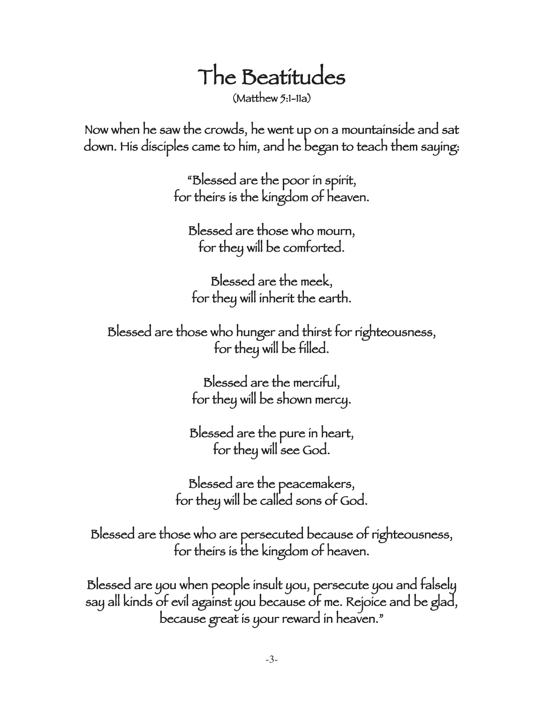# The Beatitudes

(Matthew 5:1-11a)

Now when he saw the crowds, he went up on a mountainside and sat down. His disciples came to him, and he began to teach them saying:

> "Blessed are the poor in spirit, for theirs is the kingdom of heaven.

Blessed are those who mourn, for they will be comforted.

Blessed are the meek, for they will inherit the earth.

Blessed are those who hunger and thirst for righteousness, for they will be filled.

> Blessed are the merciful, for they will be shown mercy.

Blessed are the pure in heart, for they will see God.

Blessed are the peacemakers, for they will be called sons of God.

Blessed are those who are persecuted because of righteousness, for theirs is the kingdom of heaven.

Blessed are you when people insult you, persecute you and falsely say all kinds of evil against you because of me. Rejoice and be glad, because great is your reward in heaven."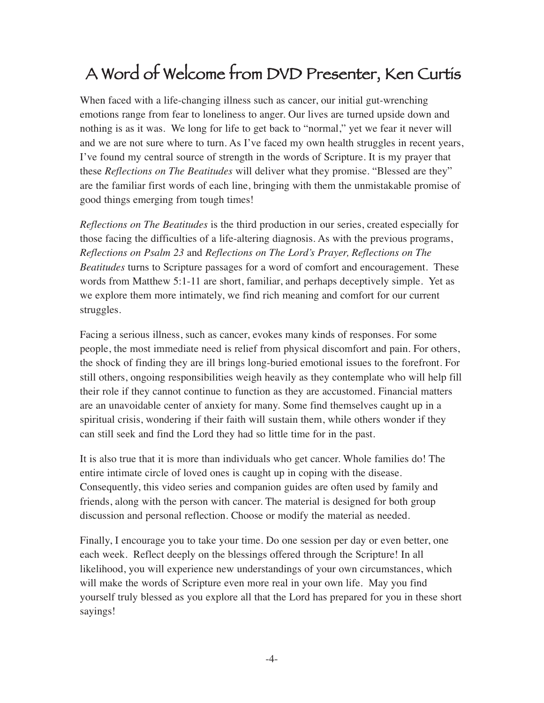### A Word of Welcome from DVD Presenter, Ken Curtis

When faced with a life-changing illness such as cancer, our initial gut-wrenching emotions range from fear to loneliness to anger. Our lives are turned upside down and nothing is as it was. We long for life to get back to "normal," yet we fear it never will and we are not sure where to turn. As I've faced my own health struggles in recent years, I've found my central source of strength in the words of Scripture. It is my prayer that these *Reflections on The Beatitudes* will deliver what they promise. "Blessed are they" are the familiar first words of each line, bringing with them the unmistakable promise of good things emerging from tough times!

*Reflections on The Beatitudes* is the third production in our series, created especially for those facing the difficulties of a life-altering diagnosis. As with the previous programs, *Reflections on Psalm 23* and *Reflections on The Lord's Prayer, Reflections on The Beatitudes* turns to Scripture passages for a word of comfort and encouragement. These words from Matthew 5:1-11 are short, familiar, and perhaps deceptively simple. Yet as we explore them more intimately, we find rich meaning and comfort for our current struggles.

Facing a serious illness, such as cancer, evokes many kinds of responses. For some people, the most immediate need is relief from physical discomfort and pain. For others, the shock of finding they are ill brings long-buried emotional issues to the forefront. For still others, ongoing responsibilities weigh heavily as they contemplate who will help fill their role if they cannot continue to function as they are accustomed. Financial matters are an unavoidable center of anxiety for many. Some find themselves caught up in a spiritual crisis, wondering if their faith will sustain them, while others wonder if they can still seek and find the Lord they had so little time for in the past.

It is also true that it is more than individuals who get cancer. Whole families do! The entire intimate circle of loved ones is caught up in coping with the disease. Consequently, this video series and companion guides are often used by family and friends, along with the person with cancer. The material is designed for both group discussion and personal reflection. Choose or modify the material as needed.

Finally, I encourage you to take your time. Do one session per day or even better, one each week. Reflect deeply on the blessings offered through the Scripture! In all likelihood, you will experience new understandings of your own circumstances, which will make the words of Scripture even more real in your own life. May you find yourself truly blessed as you explore all that the Lord has prepared for you in these short sayings!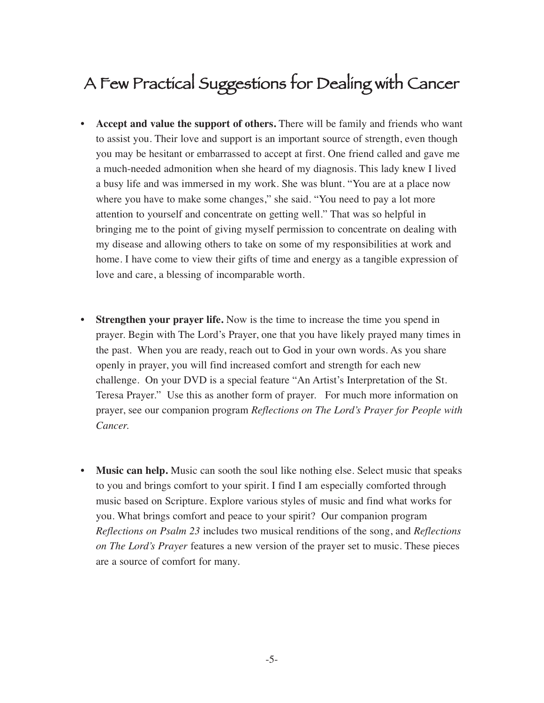### A Few Practical Suggestions for Dealing with Cancer

- **Accept and value the support of others.** There will be family and friends who want to assist you. Their love and support is an important source of strength, even though you may be hesitant or embarrassed to accept at first. One friend called and gave me a much-needed admonition when she heard of my diagnosis. This lady knew I lived a busy life and was immersed in my work. She was blunt. "You are at a place now where you have to make some changes," she said. "You need to pay a lot more attention to yourself and concentrate on getting well." That was so helpful in bringing me to the point of giving myself permission to concentrate on dealing with my disease and allowing others to take on some of my responsibilities at work and home. I have come to view their gifts of time and energy as a tangible expression of love and care, a blessing of incomparable worth.
- **Strengthen your prayer life.** Now is the time to increase the time you spend in prayer. Begin with The Lord's Prayer, one that you have likely prayed many times in the past. When you are ready, reach out to God in your own words. As you share openly in prayer, you will find increased comfort and strength for each new challenge. On your DVD is a special feature "An Artist's Interpretation of the St. Teresa Prayer." Use this as another form of prayer. For much more information on prayer, see our companion program *Reflections on The Lord's Prayer for People with Cancer.*
- **Music can help.** Music can sooth the soul like nothing else. Select music that speaks to you and brings comfort to your spirit. I find I am especially comforted through music based on Scripture. Explore various styles of music and find what works for you. What brings comfort and peace to your spirit? Our companion program *Reflections on Psalm 23* includes two musical renditions of the song, and *Reflections on The Lord's Prayer* features a new version of the prayer set to music. These pieces are a source of comfort for many.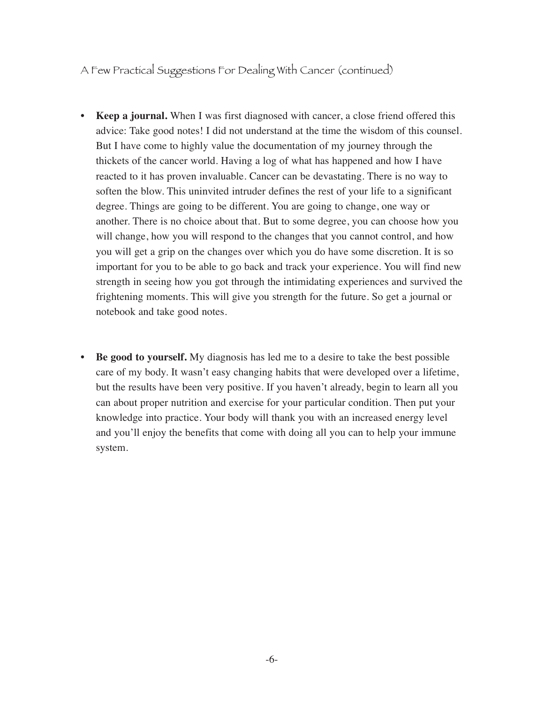A Few Practical Suggestions For Dealing With Cancer (continued)

- **Keep a journal.** When I was first diagnosed with cancer, a close friend offered this advice: Take good notes! I did not understand at the time the wisdom of this counsel. But I have come to highly value the documentation of my journey through the thickets of the cancer world. Having a log of what has happened and how I have reacted to it has proven invaluable. Cancer can be devastating. There is no way to soften the blow. This uninvited intruder defines the rest of your life to a significant degree. Things are going to be different. You are going to change, one way or another. There is no choice about that. But to some degree, you can choose how you will change, how you will respond to the changes that you cannot control, and how you will get a grip on the changes over which you do have some discretion. It is so important for you to be able to go back and track your experience. You will find new strength in seeing how you got through the intimidating experiences and survived the frightening moments. This will give you strength for the future. So get a journal or notebook and take good notes.
- **Be good to yourself.** My diagnosis has led me to a desire to take the best possible care of my body. It wasn't easy changing habits that were developed over a lifetime, but the results have been very positive. If you haven't already, begin to learn all you can about proper nutrition and exercise for your particular condition. Then put your knowledge into practice. Your body will thank you with an increased energy level and you'll enjoy the benefits that come with doing all you can to help your immune system.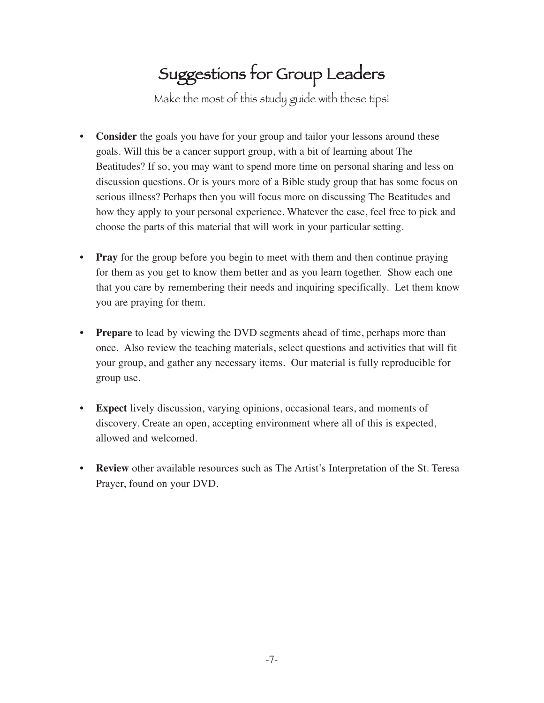### Suggestions for Group Leaders

Make the most of this study guide with these tips!

- **Consider** the goals you have for your group and tailor your lessons around these goals. Will this be a cancer support group, with a bit of learning about The Beatitudes? If so, you may want to spend more time on personal sharing and less on discussion questions. Or is yours more of a Bible study group that has some focus on serious illness? Perhaps then you will focus more on discussing The Beatitudes and how they apply to your personal experience. Whatever the case, feel free to pick and choose the parts of this material that will work in your particular setting.
- **Pray** for the group before you begin to meet with them and then continue praying for them as you get to know them better and as you learn together. Show each one that you care by remembering their needs and inquiring specifically. Let them know you are praying for them.
- **Prepare** to lead by viewing the DVD segments ahead of time, perhaps more than once. Also review the teaching materials, select questions and activities that will fit your group, and gather any necessary items. Our material is fully reproducible for group use.
- **Expect** lively discussion, varying opinions, occasional tears, and moments of discovery. Create an open, accepting environment where all of this is expected, allowed and welcomed.
- **Review** other available resources such as The Artist's Interpretation of the St. Teresa Prayer, found on your DVD.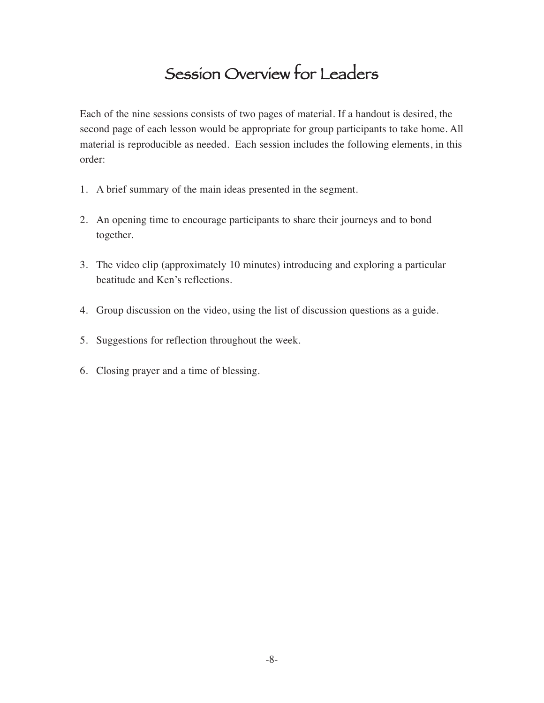### Session Overview for Leaders

Each of the nine sessions consists of two pages of material. If a handout is desired, the second page of each lesson would be appropriate for group participants to take home. All material is reproducible as needed. Each session includes the following elements, in this order:

- 1. A brief summary of the main ideas presented in the segment.
- 2. An opening time to encourage participants to share their journeys and to bond together.
- 3. The video clip (approximately 10 minutes) introducing and exploring a particular beatitude and Ken's reflections.
- 4. Group discussion on the video, using the list of discussion questions as a guide.
- 5. Suggestions for reflection throughout the week.
- 6. Closing prayer and a time of blessing.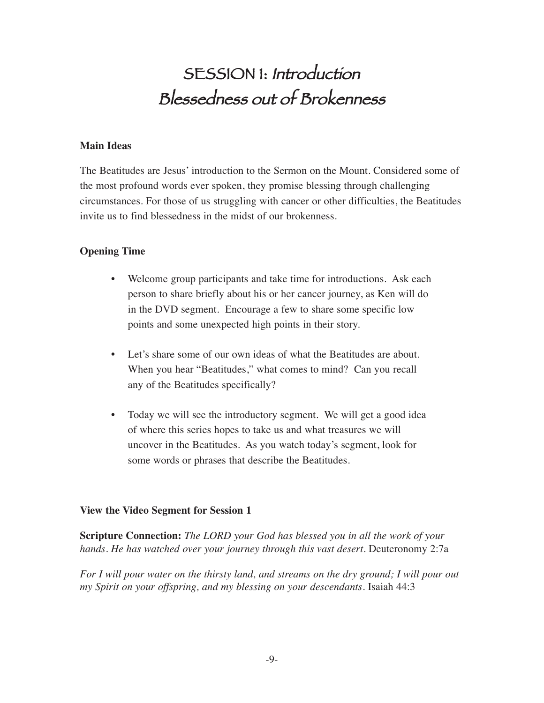### SESSION 1: Introduction Blessedness out of Brokenness

#### **Main Ideas**

The Beatitudes are Jesus' introduction to the Sermon on the Mount. Considered some of the most profound words ever spoken, they promise blessing through challenging circumstances. For those of us struggling with cancer or other difficulties, the Beatitudes invite us to find blessedness in the midst of our brokenness.

#### **Opening Time**

- Welcome group participants and take time for introductions. Ask each person to share briefly about his or her cancer journey, as Ken will do in the DVD segment. Encourage a few to share some specific low points and some unexpected high points in their story.
- Let's share some of our own ideas of what the Beatitudes are about. When you hear "Beatitudes," what comes to mind? Can you recall any of the Beatitudes specifically?
- Today we will see the introductory segment. We will get a good idea of where this series hopes to take us and what treasures we will uncover in the Beatitudes. As you watch today's segment, look for some words or phrases that describe the Beatitudes.

#### **View the Video Segment for Session 1**

**Scripture Connection:** *The LORD your God has blessed you in all the work of your hands. He has watched over your journey through this vast desert.* Deuteronomy 2:7a

*For I will pour water on the thirsty land, and streams on the dry ground; I will pour out my Spirit on your offspring, and my blessing on your descendants.* Isaiah 44:3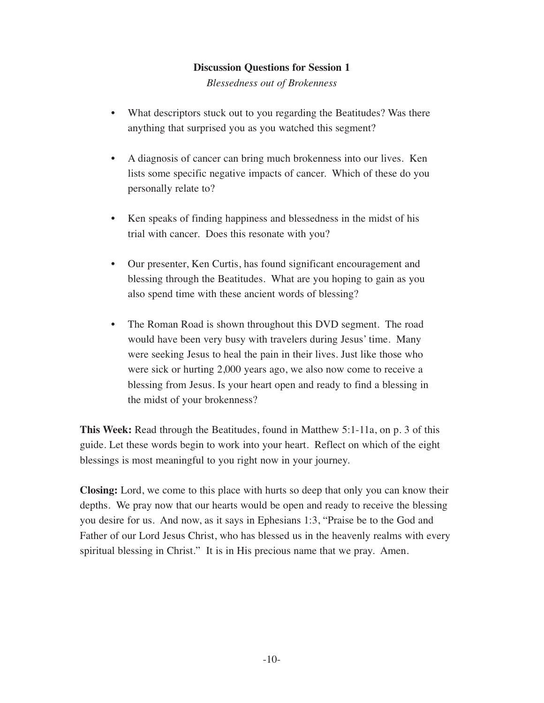*Blessedness out of Brokenness*

- What descriptors stuck out to you regarding the Beatitudes? Was there anything that surprised you as you watched this segment?
- A diagnosis of cancer can bring much brokenness into our lives. Ken lists some specific negative impacts of cancer. Which of these do you personally relate to?
- Ken speaks of finding happiness and blessedness in the midst of his trial with cancer. Does this resonate with you?
- Our presenter, Ken Curtis, has found significant encouragement and blessing through the Beatitudes. What are you hoping to gain as you also spend time with these ancient words of blessing?
- The Roman Road is shown throughout this DVD segment. The road would have been very busy with travelers during Jesus' time. Many were seeking Jesus to heal the pain in their lives. Just like those who were sick or hurting 2,000 years ago, we also now come to receive a blessing from Jesus. Is your heart open and ready to find a blessing in the midst of your brokenness?

**This Week:** Read through the Beatitudes, found in Matthew 5:1-11a, on p. 3 of this guide. Let these words begin to work into your heart. Reflect on which of the eight blessings is most meaningful to you right now in your journey.

**Closing:** Lord, we come to this place with hurts so deep that only you can know their depths. We pray now that our hearts would be open and ready to receive the blessing you desire for us. And now, as it says in Ephesians 1:3, "Praise be to the God and Father of our Lord Jesus Christ, who has blessed us in the heavenly realms with every spiritual blessing in Christ." It is in His precious name that we pray. Amen.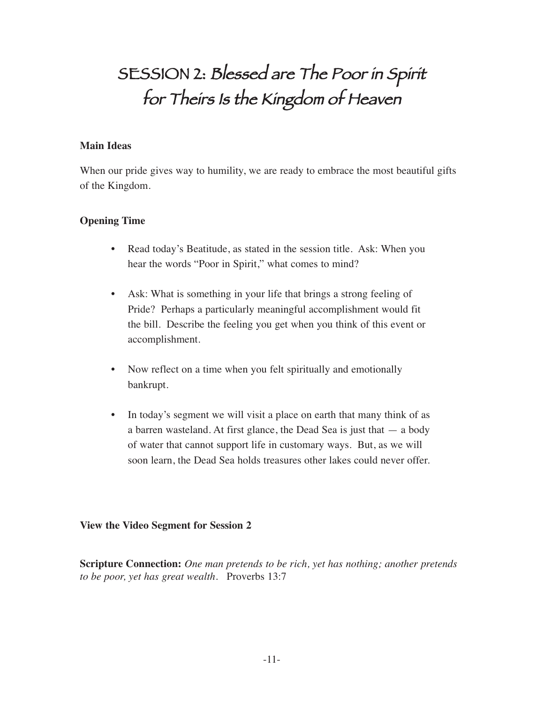### SESSION 2: Blessed are The Poor in Spirit for Theirs Is the Kingdom of Heaven

#### **Main Ideas**

When our pride gives way to humility, we are ready to embrace the most beautiful gifts of the Kingdom.

#### **Opening Time**

- Read today's Beatitude, as stated in the session title. Ask: When you hear the words "Poor in Spirit," what comes to mind?
- Ask: What is something in your life that brings a strong feeling of Pride? Perhaps a particularly meaningful accomplishment would fit the bill. Describe the feeling you get when you think of this event or accomplishment.
- Now reflect on a time when you felt spiritually and emotionally bankrupt.
- In today's segment we will visit a place on earth that many think of as a barren wasteland. At first glance, the Dead Sea is just that  $-$  a body of water that cannot support life in customary ways. But, as we will soon learn, the Dead Sea holds treasures other lakes could never offer.

#### **View the Video Segment for Session 2**

**Scripture Connection:** *One man pretends to be rich, yet has nothing; another pretends to be poor, yet has great wealth.* Proverbs 13:7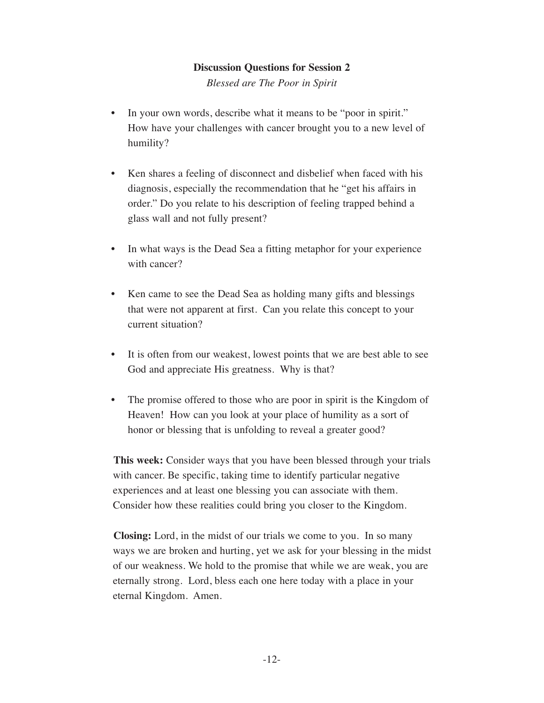*Blessed are The Poor in Spirit*

- In your own words, describe what it means to be "poor in spirit." How have your challenges with cancer brought you to a new level of humility?
- Ken shares a feeling of disconnect and disbelief when faced with his diagnosis, especially the recommendation that he "get his affairs in order." Do you relate to his description of feeling trapped behind a glass wall and not fully present?
- In what ways is the Dead Sea a fitting metaphor for your experience with cancer?
- Ken came to see the Dead Sea as holding many gifts and blessings that were not apparent at first. Can you relate this concept to your current situation?
- It is often from our weakest, lowest points that we are best able to see God and appreciate His greatness. Why is that?
- The promise offered to those who are poor in spirit is the Kingdom of Heaven! How can you look at your place of humility as a sort of honor or blessing that is unfolding to reveal a greater good?

**This week:** Consider ways that you have been blessed through your trials with cancer. Be specific, taking time to identify particular negative experiences and at least one blessing you can associate with them. Consider how these realities could bring you closer to the Kingdom.

**Closing:** Lord, in the midst of our trials we come to you. In so many ways we are broken and hurting, yet we ask for your blessing in the midst of our weakness. We hold to the promise that while we are weak, you are eternally strong. Lord, bless each one here today with a place in your eternal Kingdom. Amen.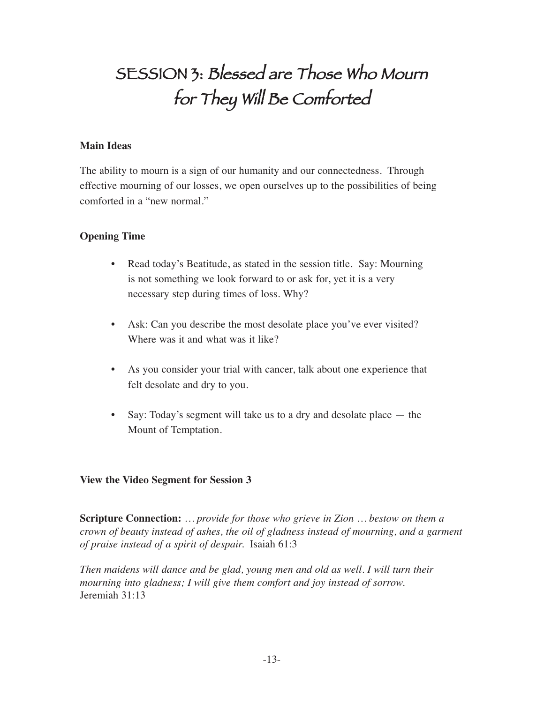# SESSION 3: Blessed are Those Who Mourn for They Will Be Comforted

#### **Main Ideas**

The ability to mourn is a sign of our humanity and our connectedness. Through effective mourning of our losses, we open ourselves up to the possibilities of being comforted in a "new normal."

#### **Opening Time**

- Read today's Beatitude, as stated in the session title. Say: Mourning is not something we look forward to or ask for, yet it is a very necessary step during times of loss. Why?
- Ask: Can you describe the most desolate place you've ever visited? Where was it and what was it like?
- As you consider your trial with cancer, talk about one experience that felt desolate and dry to you.
- Say: Today's segment will take us to a dry and desolate place the Mount of Temptation.

#### **View the Video Segment for Session 3**

**Scripture Connection:** *… provide for those who grieve in Zion … bestow on them a crown of beauty instead of ashes, the oil of gladness instead of mourning, and a garment of praise instead of a spirit of despair.* Isaiah 61:3

*Then maidens will dance and be glad, young men and old as well. I will turn their mourning into gladness; I will give them comfort and joy instead of sorrow.*  Jeremiah 31:13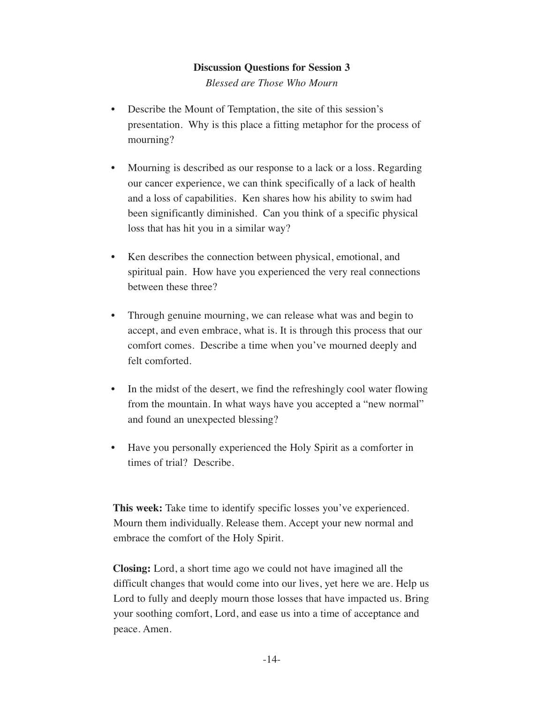*Blessed are Those Who Mourn*

- Describe the Mount of Temptation, the site of this session's presentation. Why is this place a fitting metaphor for the process of mourning?
- Mourning is described as our response to a lack or a loss. Regarding our cancer experience, we can think specifically of a lack of health and a loss of capabilities. Ken shares how his ability to swim had been significantly diminished. Can you think of a specific physical loss that has hit you in a similar way?
- Ken describes the connection between physical, emotional, and spiritual pain. How have you experienced the very real connections between these three?
- Through genuine mourning, we can release what was and begin to accept, and even embrace, what is. It is through this process that our comfort comes. Describe a time when you've mourned deeply and felt comforted.
- In the midst of the desert, we find the refreshingly cool water flowing from the mountain. In what ways have you accepted a "new normal" and found an unexpected blessing?
- Have you personally experienced the Holy Spirit as a comforter in times of trial? Describe.

**This week:** Take time to identify specific losses you've experienced. Mourn them individually. Release them. Accept your new normal and embrace the comfort of the Holy Spirit.

**Closing:** Lord, a short time ago we could not have imagined all the difficult changes that would come into our lives, yet here we are. Help us Lord to fully and deeply mourn those losses that have impacted us. Bring your soothing comfort, Lord, and ease us into a time of acceptance and peace. Amen.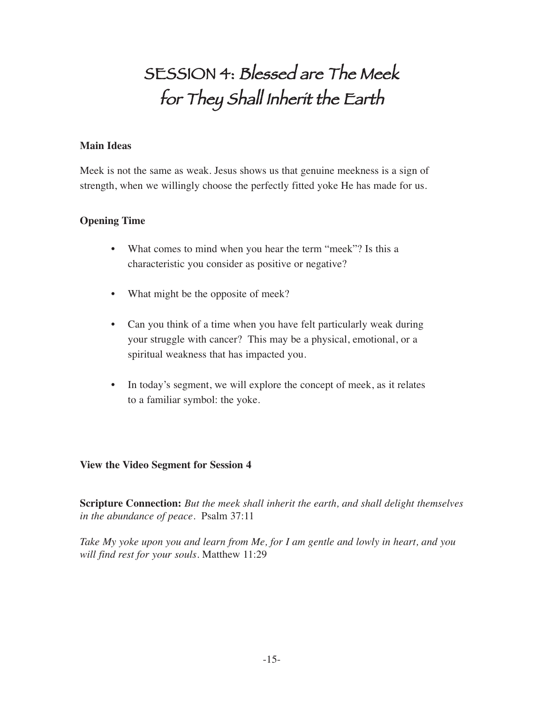## SESSION 4: Blessed are The Meek for They Shall Inherit the Earth

#### **Main Ideas**

Meek is not the same as weak. Jesus shows us that genuine meekness is a sign of strength, when we willingly choose the perfectly fitted yoke He has made for us.

#### **Opening Time**

- What comes to mind when you hear the term "meek"? Is this a characteristic you consider as positive or negative?
- What might be the opposite of meek?
- Can you think of a time when you have felt particularly weak during your struggle with cancer? This may be a physical, emotional, or a spiritual weakness that has impacted you.
- In today's segment, we will explore the concept of meek, as it relates to a familiar symbol: the yoke.

#### **View the Video Segment for Session 4**

**Scripture Connection:** *But the meek shall inherit the earth, and shall delight themselves in the abundance of peace.* Psalm 37:11

*Take My yoke upon you and learn from Me, for I am gentle and lowly in heart, and you will find rest for your souls.* Matthew 11:29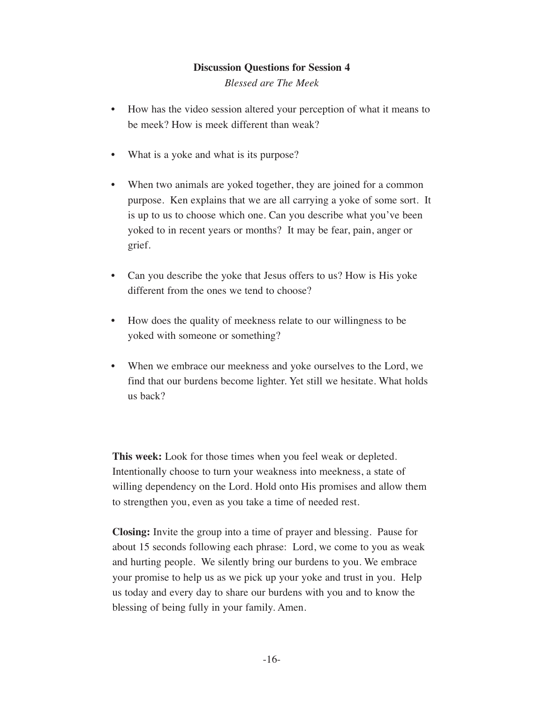*Blessed are The Meek*

- How has the video session altered your perception of what it means to be meek? How is meek different than weak?
- What is a yoke and what is its purpose?
- When two animals are yoked together, they are joined for a common purpose. Ken explains that we are all carrying a yoke of some sort. It is up to us to choose which one. Can you describe what you've been yoked to in recent years or months? It may be fear, pain, anger or grief.
- Can you describe the yoke that Jesus offers to us? How is His yoke different from the ones we tend to choose?
- How does the quality of meekness relate to our willingness to be yoked with someone or something?
- When we embrace our meekness and yoke ourselves to the Lord, we find that our burdens become lighter. Yet still we hesitate. What holds us back?

**This week:** Look for those times when you feel weak or depleted. Intentionally choose to turn your weakness into meekness, a state of willing dependency on the Lord. Hold onto His promises and allow them to strengthen you, even as you take a time of needed rest.

**Closing:** Invite the group into a time of prayer and blessing. Pause for about 15 seconds following each phrase: Lord, we come to you as weak and hurting people. We silently bring our burdens to you. We embrace your promise to help us as we pick up your yoke and trust in you. Help us today and every day to share our burdens with you and to know the blessing of being fully in your family. Amen.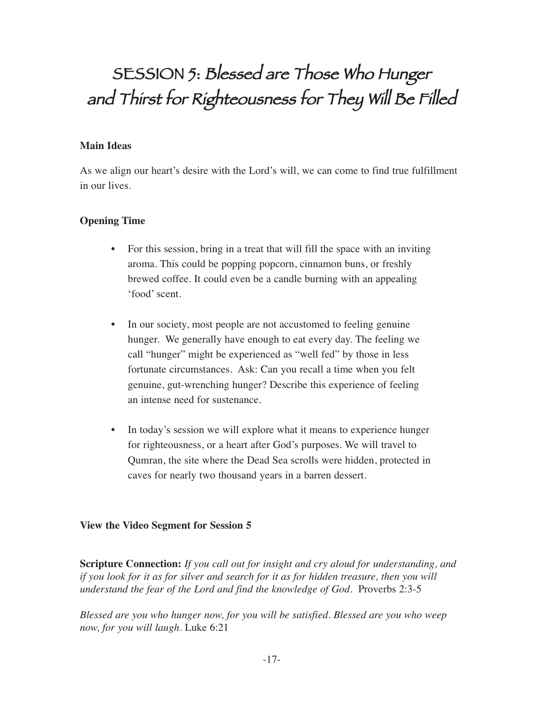# SESSION 5: Blessed are Those Who Hunger and Thirst for Righteousness for They Will Be Filled

#### **Main Ideas**

As we align our heart's desire with the Lord's will, we can come to find true fulfillment in our lives.

#### **Opening Time**

- For this session, bring in a treat that will fill the space with an inviting aroma. This could be popping popcorn, cinnamon buns, or freshly brewed coffee. It could even be a candle burning with an appealing 'food' scent.
- In our society, most people are not accustomed to feeling genuine hunger. We generally have enough to eat every day. The feeling we call "hunger" might be experienced as "well fed" by those in less fortunate circumstances. Ask: Can you recall a time when you felt genuine, gut-wrenching hunger? Describe this experience of feeling an intense need for sustenance.
- In today's session we will explore what it means to experience hunger for righteousness, or a heart after God's purposes. We will travel to Qumran, the site where the Dead Sea scrolls were hidden, protected in caves for nearly two thousand years in a barren dessert.

#### **View the Video Segment for Session 5**

**Scripture Connection:** *If you call out for insight and cry aloud for understanding, and if you look for it as for silver and search for it as for hidden treasure, then you will understand the fear of the Lord and find the knowledge of God.* Proverbs 2:3-5

*Blessed are you who hunger now, for you will be satisfied. Blessed are you who weep now, for you will laugh.* Luke 6:21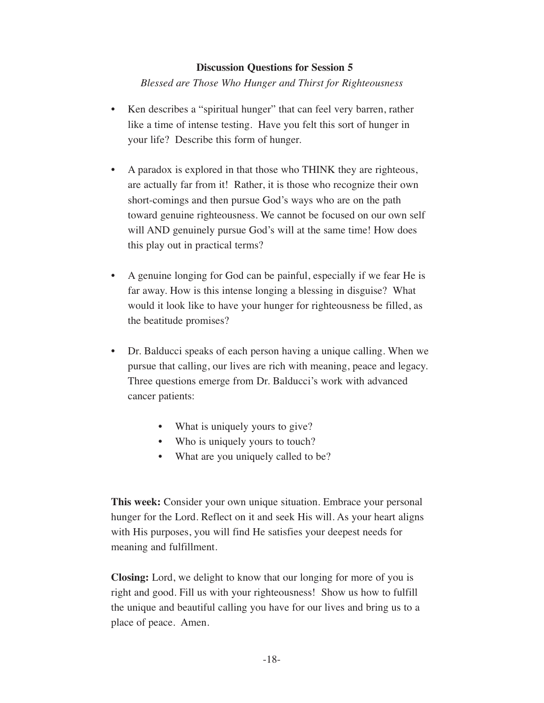*Blessed are Those Who Hunger and Thirst for Righteousness*

- Ken describes a "spiritual hunger" that can feel very barren, rather like a time of intense testing. Have you felt this sort of hunger in your life? Describe this form of hunger.
- A paradox is explored in that those who THINK they are righteous, are actually far from it! Rather, it is those who recognize their own short-comings and then pursue God's ways who are on the path toward genuine righteousness. We cannot be focused on our own self will AND genuinely pursue God's will at the same time! How does this play out in practical terms?
- A genuine longing for God can be painful, especially if we fear He is far away. How is this intense longing a blessing in disguise? What would it look like to have your hunger for righteousness be filled, as the beatitude promises?
- Dr. Balducci speaks of each person having a unique calling. When we pursue that calling, our lives are rich with meaning, peace and legacy. Three questions emerge from Dr. Balducci's work with advanced cancer patients:
	- What is uniquely yours to give?
	- Who is uniquely yours to touch?
	- What are you uniquely called to be?

**This week:** Consider your own unique situation. Embrace your personal hunger for the Lord. Reflect on it and seek His will. As your heart aligns with His purposes, you will find He satisfies your deepest needs for meaning and fulfillment.

**Closing:** Lord, we delight to know that our longing for more of you is right and good. Fill us with your righteousness! Show us how to fulfill the unique and beautiful calling you have for our lives and bring us to a place of peace. Amen.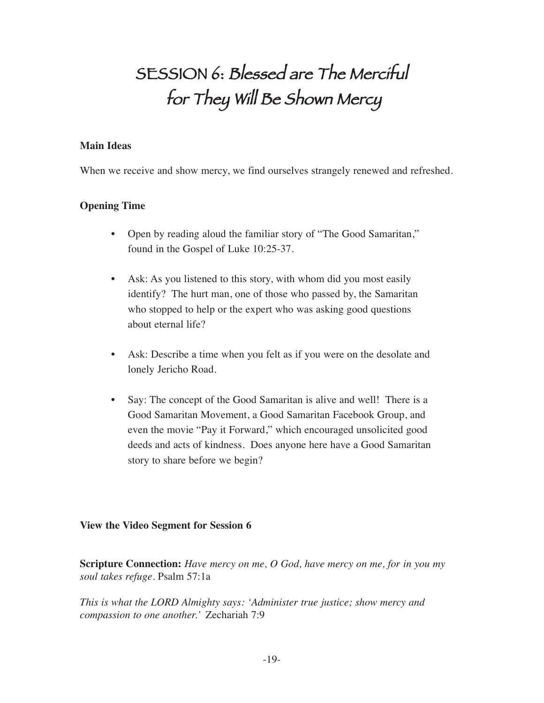# SESSION 6: Blessed are The Merciful for They Will Be Shown Mercy

#### **Main Ideas**

When we receive and show mercy, we find ourselves strangely renewed and refreshed.

#### **Opening Time**

- Open by reading aloud the familiar story of "The Good Samaritan," found in the Gospel of Luke 10:25-37.
- Ask: As you listened to this story, with whom did you most easily identify? The hurt man, one of those who passed by, the Samaritan who stopped to help or the expert who was asking good questions about eternal life?
- Ask: Describe a time when you felt as if you were on the desolate and lonely Jericho Road.
- Say: The concept of the Good Samaritan is alive and well! There is a Good Samaritan Movement, a Good Samaritan Facebook Group, and even the movie "Pay it Forward," which encouraged unsolicited good deeds and acts of kindness. Does anyone here have a Good Samaritan story to share before we begin?

#### **View the Video Segment for Session 6**

**Scripture Connection:** *Have mercy on me, O God, have mercy on me, for in you my soul takes refuge.* Psalm 57:1a

*This is what the LORD Almighty says: 'Administer true justice; show mercy and compassion to one another.'* Zechariah 7:9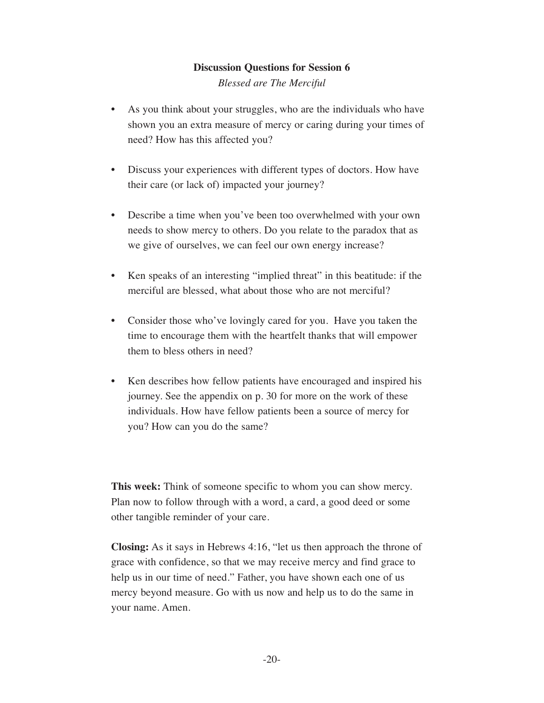*Blessed are The Merciful*

- As you think about your struggles, who are the individuals who have shown you an extra measure of mercy or caring during your times of need? How has this affected you?
- Discuss your experiences with different types of doctors. How have their care (or lack of) impacted your journey?
- Describe a time when you've been too overwhelmed with your own needs to show mercy to others. Do you relate to the paradox that as we give of ourselves, we can feel our own energy increase?
- Ken speaks of an interesting "implied threat" in this beatitude: if the merciful are blessed, what about those who are not merciful?
- Consider those who've lovingly cared for you. Have you taken the time to encourage them with the heartfelt thanks that will empower them to bless others in need?
- Ken describes how fellow patients have encouraged and inspired his journey. See the appendix on p. 30 for more on the work of these individuals. How have fellow patients been a source of mercy for you? How can you do the same?

**This week:** Think of someone specific to whom you can show mercy. Plan now to follow through with a word, a card, a good deed or some other tangible reminder of your care.

**Closing:** As it says in Hebrews 4:16, "let us then approach the throne of grace with confidence, so that we may receive mercy and find grace to help us in our time of need." Father, you have shown each one of us mercy beyond measure. Go with us now and help us to do the same in your name. Amen.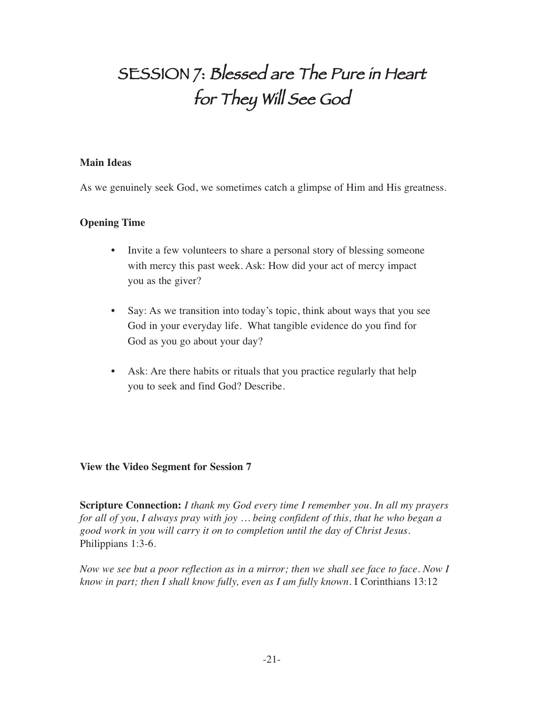# SESSION 7: Blessed are The Pure in Heart for They Will See God

#### **Main Ideas**

As we genuinely seek God, we sometimes catch a glimpse of Him and His greatness.

#### **Opening Time**

- Invite a few volunteers to share a personal story of blessing someone with mercy this past week. Ask: How did your act of mercy impact you as the giver?
- Say: As we transition into today's topic, think about ways that you see God in your everyday life. What tangible evidence do you find for God as you go about your day?
- Ask: Are there habits or rituals that you practice regularly that help you to seek and find God? Describe.

#### **View the Video Segment for Session 7**

**Scripture Connection:** *I thank my God every time I remember you. In all my prayers for all of you, I always pray with joy … being confident of this, that he who began a good work in you will carry it on to completion until the day of Christ Jesus.*  Philippians 1:3-6.

*Now we see but a poor reflection as in a mirror; then we shall see face to face. Now I know in part; then I shall know fully, even as I am fully known.* I Corinthians 13:12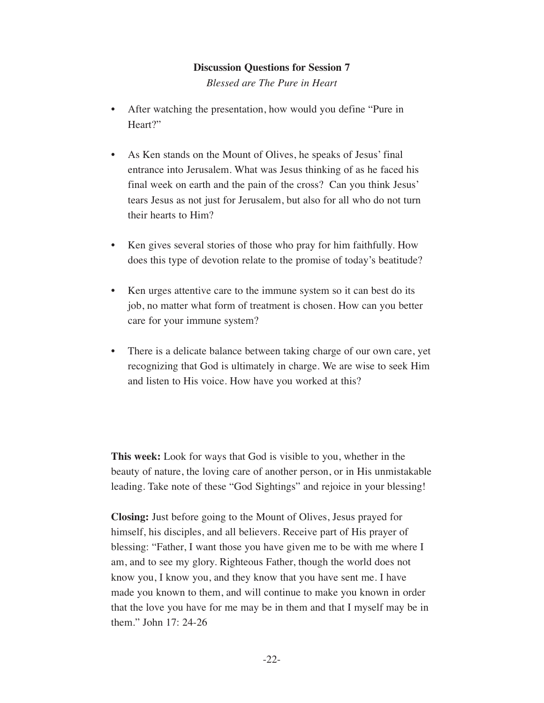*Blessed are The Pure in Heart*

- After watching the presentation, how would you define "Pure in Heart?"
- As Ken stands on the Mount of Olives, he speaks of Jesus' final entrance into Jerusalem. What was Jesus thinking of as he faced his final week on earth and the pain of the cross? Can you think Jesus' tears Jesus as not just for Jerusalem, but also for all who do not turn their hearts to Him?
- Ken gives several stories of those who pray for him faithfully. How does this type of devotion relate to the promise of today's beatitude?
- Ken urges attentive care to the immune system so it can best do its job, no matter what form of treatment is chosen. How can you better care for your immune system?
- There is a delicate balance between taking charge of our own care, yet recognizing that God is ultimately in charge. We are wise to seek Him and listen to His voice. How have you worked at this?

**This week:** Look for ways that God is visible to you, whether in the beauty of nature, the loving care of another person, or in His unmistakable leading. Take note of these "God Sightings" and rejoice in your blessing!

**Closing:** Just before going to the Mount of Olives, Jesus prayed for himself, his disciples, and all believers. Receive part of His prayer of blessing: "Father, I want those you have given me to be with me where I am, and to see my glory. Righteous Father, though the world does not know you, I know you, and they know that you have sent me. I have made you known to them, and will continue to make you known in order that the love you have for me may be in them and that I myself may be in them." John 17: 24-26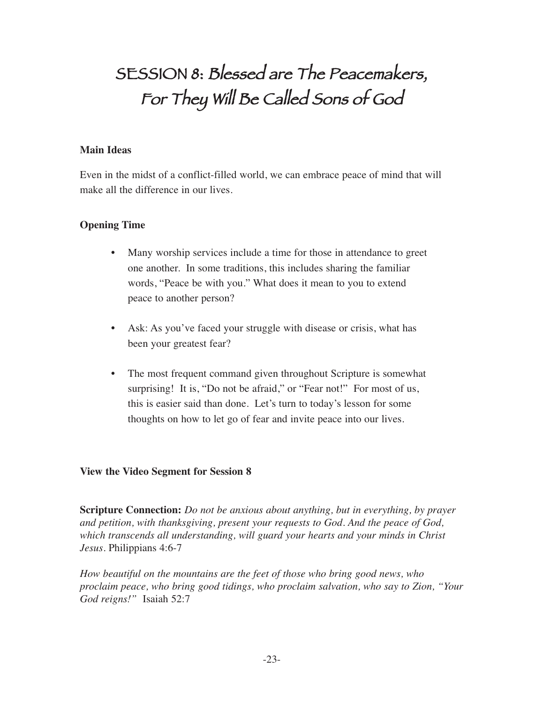## SESSION 8: Blessed are The Peacemakers, For They Will Be Called Sons of God

#### **Main Ideas**

Even in the midst of a conflict-filled world, we can embrace peace of mind that will make all the difference in our lives.

#### **Opening Time**

- Many worship services include a time for those in attendance to greet one another. In some traditions, this includes sharing the familiar words, "Peace be with you." What does it mean to you to extend peace to another person?
- Ask: As you've faced your struggle with disease or crisis, what has been your greatest fear?
- The most frequent command given throughout Scripture is somewhat surprising! It is, "Do not be afraid," or "Fear not!" For most of us, this is easier said than done. Let's turn to today's lesson for some thoughts on how to let go of fear and invite peace into our lives.

#### **View the Video Segment for Session 8**

**Scripture Connection:** *Do not be anxious about anything, but in everything, by prayer and petition, with thanksgiving, present your requests to God. And the peace of God, which transcends all understanding, will guard your hearts and your minds in Christ Jesus.* Philippians 4:6-7

*How beautiful on the mountains are the feet of those who bring good news, who proclaim peace, who bring good tidings, who proclaim salvation, who say to Zion, "Your God reigns!"* Isaiah 52:7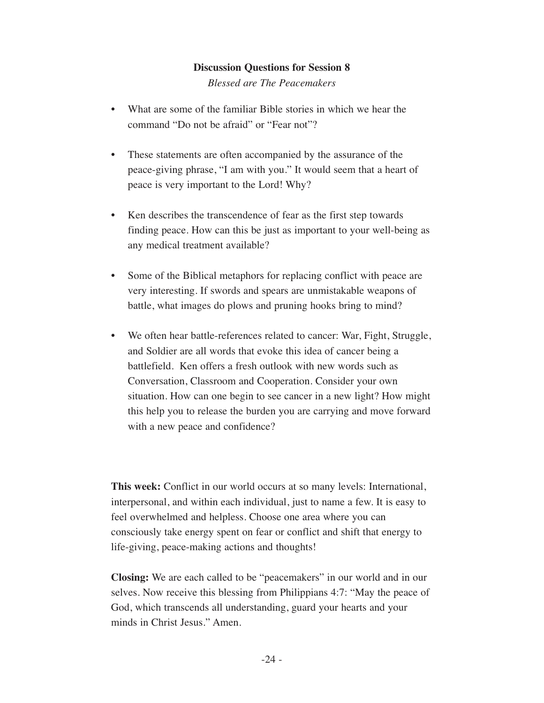*Blessed are The Peacemakers*

- What are some of the familiar Bible stories in which we hear the command "Do not be afraid" or "Fear not"?
- These statements are often accompanied by the assurance of the peace-giving phrase, "I am with you." It would seem that a heart of peace is very important to the Lord! Why?
- Ken describes the transcendence of fear as the first step towards finding peace. How can this be just as important to your well-being as any medical treatment available?
- Some of the Biblical metaphors for replacing conflict with peace are very interesting. If swords and spears are unmistakable weapons of battle, what images do plows and pruning hooks bring to mind?
- We often hear battle-references related to cancer: War, Fight, Struggle, and Soldier are all words that evoke this idea of cancer being a battlefield. Ken offers a fresh outlook with new words such as Conversation, Classroom and Cooperation. Consider your own situation. How can one begin to see cancer in a new light? How might this help you to release the burden you are carrying and move forward with a new peace and confidence?

**This week:** Conflict in our world occurs at so many levels: International, interpersonal, and within each individual, just to name a few. It is easy to feel overwhelmed and helpless. Choose one area where you can consciously take energy spent on fear or conflict and shift that energy to life-giving, peace-making actions and thoughts!

**Closing:** We are each called to be "peacemakers" in our world and in our selves. Now receive this blessing from Philippians 4:7: "May the peace of God, which transcends all understanding, guard your hearts and your minds in Christ Jesus." Amen.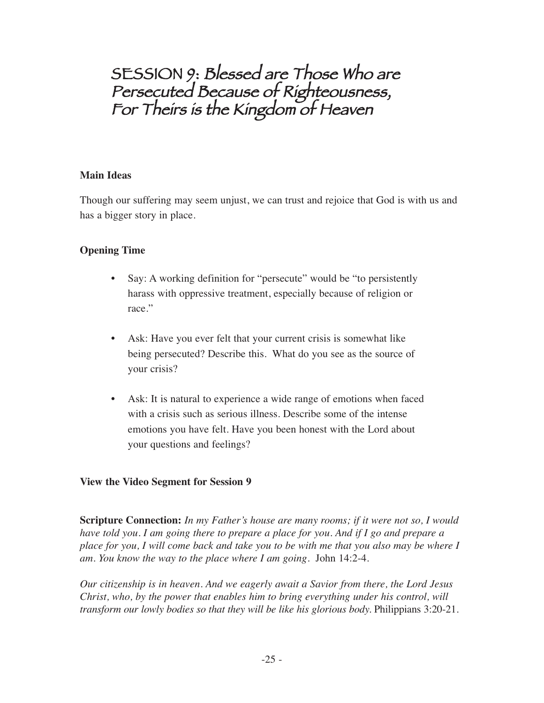SESSION 9: Blessed are Those Who are Persecuted Because of Righteousness, For Theirs is the Kingdom of Heaven

#### **Main Ideas**

Though our suffering may seem unjust, we can trust and rejoice that God is with us and has a bigger story in place.

#### **Opening Time**

- Say: A working definition for "persecute" would be "to persistently harass with oppressive treatment, especially because of religion or race."
- Ask: Have you ever felt that your current crisis is somewhat like being persecuted? Describe this. What do you see as the source of your crisis?
- Ask: It is natural to experience a wide range of emotions when faced with a crisis such as serious illness. Describe some of the intense emotions you have felt. Have you been honest with the Lord about your questions and feelings?

#### **View the Video Segment for Session 9**

**Scripture Connection:** *In my Father's house are many rooms; if it were not so, I would have told you. I am going there to prepare a place for you. And if I go and prepare a place for you, I will come back and take you to be with me that you also may be where I am. You know the way to the place where I am going.* John 14:2-4.

*Our citizenship is in heaven. And we eagerly await a Savior from there, the Lord Jesus Christ, who, by the power that enables him to bring everything under his control, will transform our lowly bodies so that they will be like his glorious body.* Philippians 3:20-21.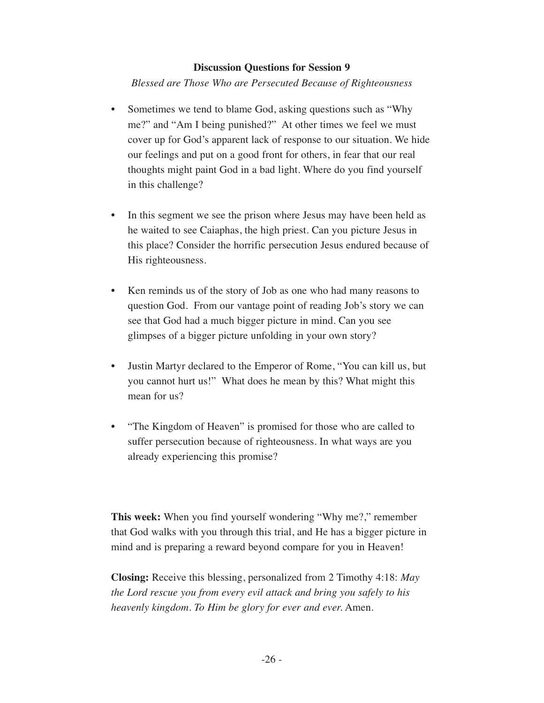*Blessed are Those Who are Persecuted Because of Righteousness*

- Sometimes we tend to blame God, asking questions such as "Why" me?" and "Am I being punished?" At other times we feel we must cover up for God's apparent lack of response to our situation. We hide our feelings and put on a good front for others, in fear that our real thoughts might paint God in a bad light. Where do you find yourself in this challenge?
- In this segment we see the prison where Jesus may have been held as he waited to see Caiaphas, the high priest. Can you picture Jesus in this place? Consider the horrific persecution Jesus endured because of His righteousness.
- Ken reminds us of the story of Job as one who had many reasons to question God. From our vantage point of reading Job's story we can see that God had a much bigger picture in mind. Can you see glimpses of a bigger picture unfolding in your own story?
- Justin Martyr declared to the Emperor of Rome, "You can kill us, but you cannot hurt us!" What does he mean by this? What might this mean for us?
- "The Kingdom of Heaven" is promised for those who are called to suffer persecution because of righteousness. In what ways are you already experiencing this promise?

**This week:** When you find yourself wondering "Why me?," remember that God walks with you through this trial, and He has a bigger picture in mind and is preparing a reward beyond compare for you in Heaven!

**Closing:** Receive this blessing, personalized from 2 Timothy 4:18: *May the Lord rescue you from every evil attack and bring you safely to his heavenly kingdom. To Him be glory for ever and ever.* Amen.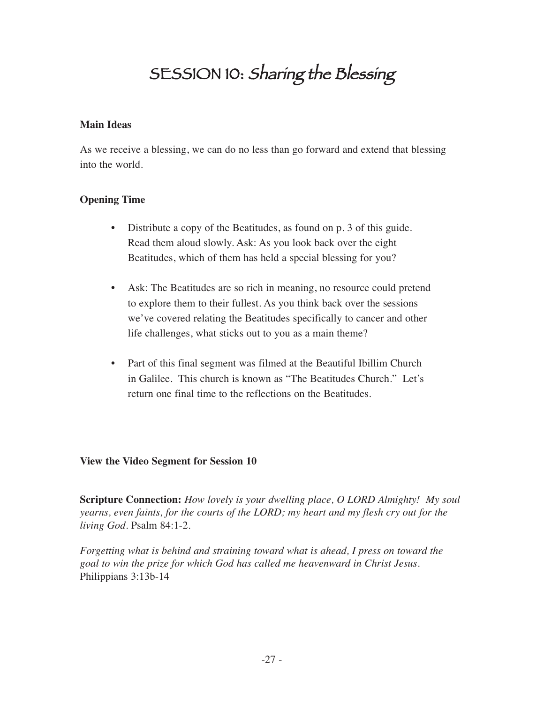## SESSION 10: Sharing the Blessing

#### **Main Ideas**

As we receive a blessing, we can do no less than go forward and extend that blessing into the world.

#### **Opening Time**

- Distribute a copy of the Beatitudes, as found on p. 3 of this guide. Read them aloud slowly. Ask: As you look back over the eight Beatitudes, which of them has held a special blessing for you?
- Ask: The Beatitudes are so rich in meaning, no resource could pretend to explore them to their fullest. As you think back over the sessions we've covered relating the Beatitudes specifically to cancer and other life challenges, what sticks out to you as a main theme?
- Part of this final segment was filmed at the Beautiful Ibillim Church in Galilee. This church is known as "The Beatitudes Church." Let's return one final time to the reflections on the Beatitudes.

#### **View the Video Segment for Session 10**

**Scripture Connection:** *How lovely is your dwelling place, O LORD Almighty! My soul yearns, even faints, for the courts of the LORD; my heart and my flesh cry out for the living God.* Psalm 84:1-2.

*Forgetting what is behind and straining toward what is ahead, I press on toward the goal to win the prize for which God has called me heavenward in Christ Jesus.* Philippians 3:13b-14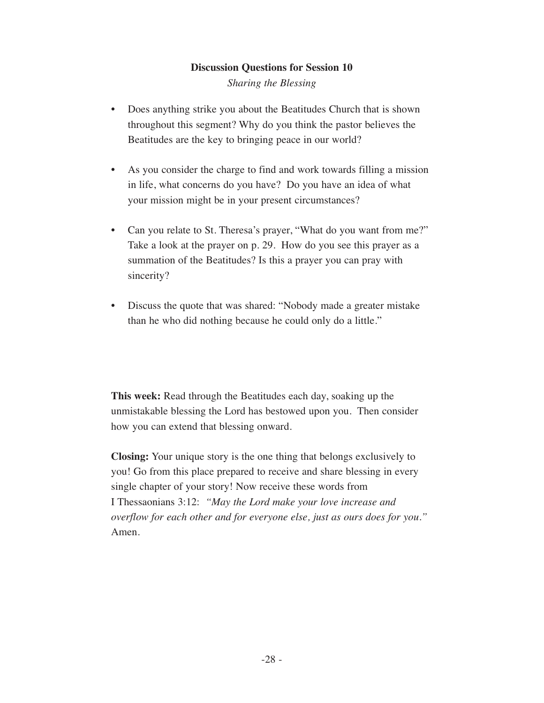*Sharing the Blessing*

- Does anything strike you about the Beatitudes Church that is shown throughout this segment? Why do you think the pastor believes the Beatitudes are the key to bringing peace in our world?
- As you consider the charge to find and work towards filling a mission in life, what concerns do you have? Do you have an idea of what your mission might be in your present circumstances?
- Can you relate to St. Theresa's prayer, "What do you want from me?" Take a look at the prayer on p. 29. How do you see this prayer as a summation of the Beatitudes? Is this a prayer you can pray with sincerity?
- Discuss the quote that was shared: "Nobody made a greater mistake than he who did nothing because he could only do a little."

**This week:** Read through the Beatitudes each day, soaking up the unmistakable blessing the Lord has bestowed upon you. Then consider how you can extend that blessing onward.

**Closing:** Your unique story is the one thing that belongs exclusively to you! Go from this place prepared to receive and share blessing in every single chapter of your story! Now receive these words from I Thessaonians 3:12: *"May the Lord make your love increase and overflow for each other and for everyone else, just as ours does for you."* Amen.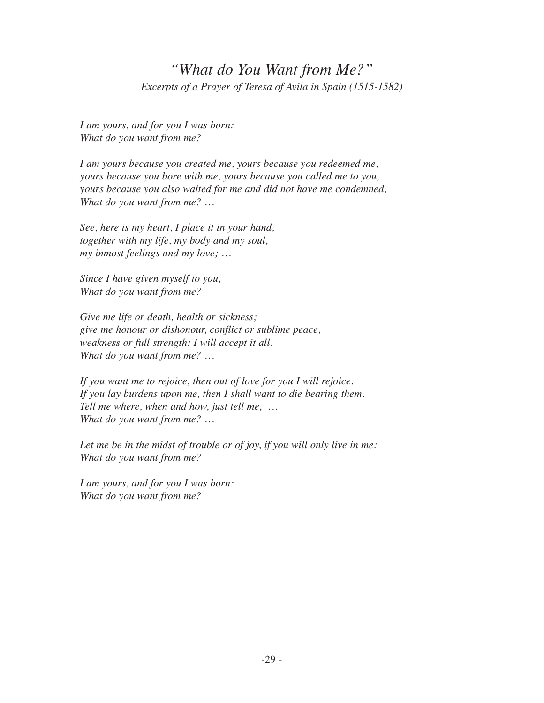#### *"What do You Want from Me?" Excerpts of a Prayer of Teresa of Avila in Spain (1515-1582)*

*I am yours, and for you I was born: What do you want from me?*

*I am yours because you created me, yours because you redeemed me, yours because you bore with me, yours because you called me to you, yours because you also waited for me and did not have me condemned, What do you want from me? …*

*See, here is my heart, I place it in your hand, together with my life, my body and my soul, my inmost feelings and my love; …*

*Since I have given myself to you, What do you want from me?* 

*Give me life or death, health or sickness; give me honour or dishonour, conflict or sublime peace, weakness or full strength: I will accept it all. What do you want from me? …* 

*If you want me to rejoice, then out of love for you I will rejoice. If you lay burdens upon me, then I shall want to die bearing them. Tell me where, when and how, just tell me, … What do you want from me? …*

*Let me be in the midst of trouble or of joy, if you will only live in me: What do you want from me?*

*I am yours, and for you I was born: What do you want from me?*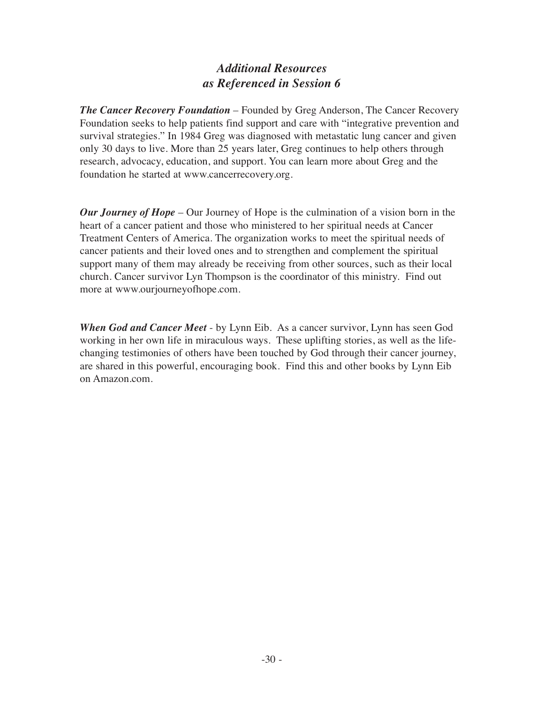#### *Additional Resources as Referenced in Session 6*

*The Cancer Recovery Foundation* – Founded by Greg Anderson, The Cancer Recovery Foundation seeks to help patients find support and care with "integrative prevention and survival strategies." In 1984 Greg was diagnosed with metastatic lung cancer and given only 30 days to live. More than 25 years later, Greg continues to help others through research, advocacy, education, and support. You can learn more about Greg and the foundation he started at www.cancerrecovery.org.

*Our Journey of Hope* – Our Journey of Hope is the culmination of a vision born in the heart of a cancer patient and those who ministered to her spiritual needs at Cancer Treatment Centers of America. The organization works to meet the spiritual needs of cancer patients and their loved ones and to strengthen and complement the spiritual support many of them may already be receiving from other sources, such as their local church. Cancer survivor Lyn Thompson is the coordinator of this ministry. Find out more at www.ourjourneyofhope.com.

*When God and Cancer Meet* - by Lynn Eib. As a cancer survivor, Lynn has seen God working in her own life in miraculous ways. These uplifting stories, as well as the lifechanging testimonies of others have been touched by God through their cancer journey, are shared in this powerful, encouraging book. Find this and other books by Lynn Eib on Amazon.com.